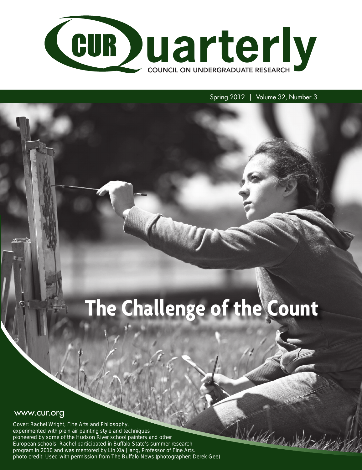

# Spring 2012 | Volume 32, Number 3

World Max

# **The Challenge of the Count**

# www.cur.org

Cover: Rachel Wright, Fine Arts and Philosophy, experimented with plein air painting style and techniques pioneered by some of the Hudson River school painters and other European schools. Rachel participated in Buffalo State's summer research program in 2010 and was mentored by Lin Xia Jiang, Professor of Fine Arts. photo credit: Used with permission from The Buffalo News (photographer: Derek Gee)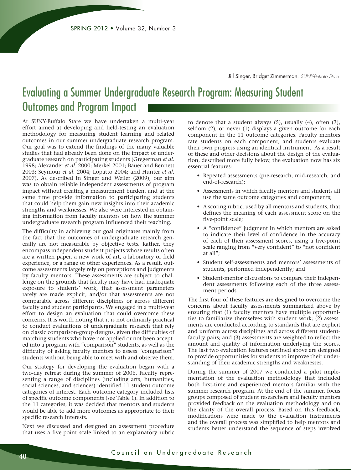Jill Singer, Bridget Zimmerman, *SUNY-Buffalo State*

# Evaluating a Summer Undergraduate Research Program: Measuring Student Outcomes and Program Impact

At SUNY-Buffalo State we have undertaken a multi-year effort aimed at developing and field-testing an evaluation methodology for measuring student learning and related outcomes in our summer undergraduate research program. Our goal was to extend the findings of the many valuable studies that had already been done on the impact of undergraduate research on participating students (Gregerman *et al*. 1998; Alexander *et al*. 2000; Merkel 2001; Bauer and Bennett 2003; Seymour *et al*. 2004; Lopatto 2004; and Hunter *et al*. 2007). As described in Singer and Weiler (2009), our aim was to obtain reliable independent assessments of program impact without creating a measurement burden, and at the same time provide information to participating students that could help them gain new insights into their academic strengths and weaknesses. We also were interested in obtaining information from faculty mentors on how the summer undergraduate research program influenced their teaching.

The difficulty in achieving our goal originates mainly from the fact that the outcomes of undergraduate research generally are not measurable by objective tests. Rather, they encompass independent student projects whose results often are a written paper, a new work of art, a laboratory or field experience, or a range of other experiences. As a result, outcome assessments largely rely on perceptions and judgments by faculty mentors. These assessments are subject to challenge on the grounds that faculty may have had inadequate exposure to students' work, that assessment parameters rarely are made explicit, and/or that assessments are not comparable across different disciplines or across different faculty and student participants. We engaged in a multi-year effort to design an evaluation that could overcome these concerns. It is worth noting that it is not ordinarily practical to conduct evaluations of undergraduate research that rely on classic comparison-group designs, given the difficulties of matching students who have not applied or not been accepted into a program with "comparison" students, as well as the difficulty of asking faculty mentors to assess "comparison" students without being able to meet with and observe them.

Our strategy for developing the evaluation began with a two-day retreat during the summer of 2006. Faculty representing a range of disciplines (including arts, humanities, social sciences, and sciences) identified 11 student outcome categories of interest. Each outcome category included lists of specific outcome components (see Table 1). In addition to the 11 categories, it was decided that mentors and students would be able to add more outcomes as appropriate to their specific research interests.

Next we discussed and designed an assessment procedure that uses a five-point scale linked to an explanatory rubric

to denote that a student always (5), usually (4), often (3), seldom (2), or never (1) displays a given outcome for each component in the 11 outcome categories. Faculty mentors rate students on each component, and students evaluate their own progress using an identical instrument. As a result of these and other decisions about the design of the evaluation, described more fully below, the evaluation now has six essential features:

- Repeated assessments (pre-research, mid-research, and end-of-research);
- Assessments in which faculty mentors and students all use the same outcome categories and components;
- A scoring rubric, used by all mentors and students, that defines the meaning of each assessment score on the five-point scale;
- A "confidence" judgment in which mentors are asked to indicate their level of confidence in the accuracy of each of their assessment scores, using a five-point scale ranging from "very confident" to "not confident at all";
- Student self-assessments and mentors' assessments of students, performed independently; and
- Student-mentor discussions to compare their independent assessments following each of the three assessment periods.

The first four of these features are designed to overcome the concerns about faculty assessments summarized above by ensuring that (1) faculty mentors have multiple opportunities to familiarize themselves with student work; (2) assessments are conducted according to standards that are explicit and uniform across disciplines and across different studentfaculty pairs; and (3) assessments are weighted to reflect the amount and quality of information underlying the scores. The last two evaluation features outlined above are designed to provide opportunities for students to improve their understanding of their academic strengths and weaknesses.

During the summer of 2007 we conducted a pilot implementation of the evaluation methodology that included both first-time and experienced mentors familiar with the summer research program. At the end of the summer, focus groups composed of student researchers and faculty mentors provided feedback on the evaluation methodology and on the clarity of the overall process. Based on this feedback, modifications were made to the evaluation instruments and the overall process was simplified to help mentors and students better understand the sequence of steps involved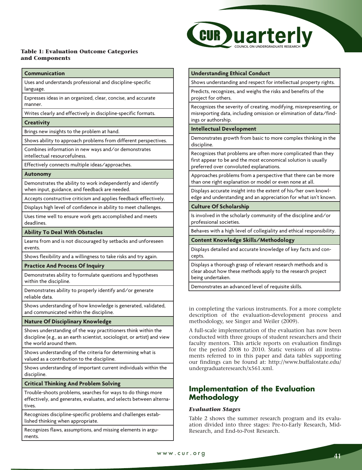#### **Table 1: Evaluation Outcome Categories and Components**

#### **Communication**

Uses and understands professional and discipline-specific language.

Expresses ideas in an organized, clear, concise, and accurate manner.

Writes clearly and effectively in discipline-specific formats.

#### **Creativity**

Brings new insights to the problem at hand.

Shows ability to approach problems from different perspectives.

Combines information in new ways and/or demonstrates

intellectual resourcefulness.

Effectively connects multiple ideas/approaches.

#### **Autonomy**

Demonstrates the ability to work independently and identify when input, guidance, and feedback are needed.

Accepts constructive criticism and applies feedback effectively.

Displays high level of confidence in ability to meet challenges.

Uses time well to ensure work gets accomplished and meets deadlines.

#### **Ability To Deal With Obstacles**

Learns from and is not discouraged by setbacks and unforeseen events.

Shows flexibility and a willingness to take risks and try again.

#### **Practice And Process Of Inquiry**

Demonstrates ability to formulate questions and hypotheses within the discipline.

Demonstrates ability to properly identify and/or generate reliable data.

Shows understanding of how knowledge is generated, validated, and communicated within the discipline.

#### **Nature Of Disciplinary Knowledge**

Shows understanding of the way practitioners think within the discipline (e.g., as an earth scientist, sociologist, or artist) and view the world around them.

Shows understanding of the criteria for determining what is valued as a contribution to the discipline.

Shows understanding of important current individuals within the discipline.

**Critical Thinking And Problem Solving**

Trouble-shoots problems, searches for ways to do things more effectively, and generates, evaluates, and selects between alternatives.

Recognizes discipline-specific problems and challenges established thinking when appropriate.

Recognizes flaws, assumptions, and missing elements in arguments.



#### **Understanding Ethical Conduct**

Shows understanding and respect for intellectual property rights.

Predicts, recognizes, and weighs the risks and benefits of the project for others.

Recognizes the severity of creating, modifying, misrepresenting, or misreporting data, including omission or elimination of data/findings or authorship.

#### **Intellectual Development**

Demonstrates growth from basic to more complex thinking in the discipline.

Recognizes that problems are often more complicated than they first appear to be and the most economical solution is usually preferred over convoluted explanations.

Approaches problems from a perspective that there can be more than one right explanation or model or even none at all.

Displays accurate insight into the extent of his/her own knowledge and understanding and an appreciation for what isn't known.

## **Culture Of Scholarship**

Is involved in the scholarly community of the discipline and/or professional societies.

Behaves with a high level of collegiality and ethical responsibility.

**Content Knowledge Skills/Methodology**

Displays detailed and accurate knowledge of key facts and concepts.

Displays a thorough grasp of relevant research methods and is clear about how these methods apply to the research project being undertaken.

Demonstrates an advanced level of requisite skills.

in completing the various instruments. For a more complete description of the evaluation-development process and methodology, see Singer and Weiler (2009).

A full-scale implementation of the evaluation has now been conducted with three groups of student researchers and their faculty mentors. This article reports on evaluation findings for the period 2008 to 2010. Static versions of all instruments referred to in this paper and data tables supporting our findings can be found at: http://www.buffalostate.edu/ undergraduateresearch/x561.xml.

# **Implementation of the Evaluation Methodology**

#### *Evaluation Stages*

Table 2 shows the summer research program and its evaluation divided into three stages: Pre-to-Early Research, Mid-Research, and End-to-Post Research.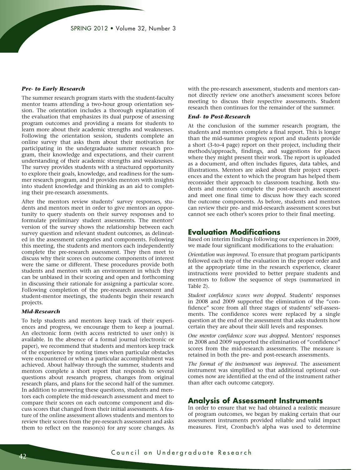#### *Pre- to Early Research*

The summer research program starts with the student-faculty mentor teams attending a two-hour group orientation session. The orientation includes a thorough explanation of the evaluation that emphasizes its dual purpose of assessing program outcomes and providing a means for students to learn more about their academic strengths and weaknesses. Following the orientation session, students complete an online survey that asks them about their motivation for participating in the undergraduate summer research program, their knowledge and expectations, and their current understanding of their academic strengths and weaknesses. The survey provides students with a structured opportunity to explore their goals, knowledge, and readiness for the summer research program, and it provides mentors with insights into student knowledge and thinking as an aid to completing their pre-research assessments.

After the mentors review students' survey responses, students and mentors meet in order to give mentors an opportunity to query students on their survey responses and to formulate preliminary student assessments. The mentors' version of the survey shows the relationship between each survey question and relevant student outcomes, as delineated in the assessment categories and components. Following this meeting, the students and mentors each independently complete the pre-research assessment. They then meet to discuss why their scores on outcome components of interest were the same or different. These procedures provide both students and mentors with an environment in which they can be unbiased in their scoring and open and forthcoming in discussing their rationale for assigning a particular score. Following completion of the pre-research assessment and student-mentor meetings, the students begin their research projects.

#### *Mid-Research*

To help students and mentors keep track of their experiences and progress, we encourage them to keep a journal. An electronic form (with access restricted to user only) is available. In the absence of a formal journal (electronic or paper), we recommend that students and mentors keep track of the experience by noting times when particular obstacles were encountered or when a particular accomplishment was achieved. About halfway through the summer, students and mentors complete a short report that responds to several questions about research progress, changes from original research plans, and plans for the second half of the summer. In addition to answering these questions, students and mentors each complete the mid-research assessment and meet to compare their scores on each outcome component and discuss scores that changed from their initial assessments. A feature of the online assessment allows students and mentors to review their scores from the pre-research assessment and asks them to reflect on the reason(s) for any score changes. As with the pre-research assessment, students and mentors cannot directly review one another's assessment scores before meeting to discuss their respective assessments. Student research then continues for the remainder of the summer.

#### *End- to Post-Research*

At the conclusion of the summer research program, the students and mentors complete a final report. This is longer than the mid-summer progress report and students provide a short (3-to-4 page) report on their project, including their methods/approach, findings, and suggestions for places where they might present their work. The report is uploaded as a document, and often includes figures, data tables, and illustrations. Mentors are asked about their project experiences and the extent to which the program has helped them reconsider their approach to classroom teaching. Both students and mentors complete the post-research assessment and meet one final time to discuss how they each scored the outcome components. As before, students and mentors can review their pre- and mid-research assessment scores but cannot see each other's scores prior to their final meeting.

# **Evaluation Modifications**

Based on interim findings following our experiences in 2009, we made four significant modifications to the evaluation:

*Orientation was improved.* To ensure that program participants followed each step of the evaluation in the proper order and at the appropriate time in the research experience, clearer instructions were provided to better prepare students and mentors to follow the sequence of steps (summarized in Table 2).

*Student confidence scores were dropped.* Students' responses in 2008 and 2009 supported the elimination of the "confidence" score from all three stages of students' self-assessments. The confidence scores were replaced by a single question at the end of the assessment that asks students how certain they are about their skill levels and responses.

*One mentor confidence score was dropped.* Mentors' responses in 2008 and 2009 supported the elimination of "confidence" scores from the mid-research assessments. The measure is retained in both the pre- and post-research assessments.

*The format of the instrument was improved.* The assessment instrument was simplified so that additional optional outcomes now are identified at the end of the instrument rather than after each outcome category.

# **Analysis of Assessment Instruments**

In order to ensure that we had obtained a realistic measure of program outcomes, we began by making certain that our assessment instruments provided reliable and valid impact measures. First, Cronbach's alpha was used to determine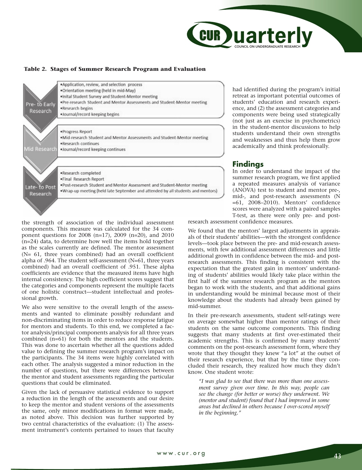

#### **Table 2. Stages of Summer Research Program and Evaluation**



had identified during the program's initial retreat as important potential outcomes of students' education and research experience, and (2) the assessment categories and components were being used strategically (not just as an exercise in psychometrics) in the student-mentor discussions to help students understand their own strengths and weaknesses and thus help them grow academically and think professionally.

# **Findings**

In order to understand the impact of the summer research program, we first applied a repeated measures analysis of variance (ANOVA) test to student and mentor pre-, mid-, and post-research assessments (N =61, 2008–2010). Mentors' confidence scores were analyzed with a paired samples T-test, as there were only pre- and post-

the strength of association of the individual assessment components. This measure was calculated for the 34 component questions for 2008 (n=17), 2009 (n=20), and 2010  $(n=24)$  data, to determine how well the items hold together as the scales currently are defined. The mentor assessment (N= 61, three years combined) had an overall coefficient alpha of .964. The student self-assessment (N=61, three years combined) had an overall coefficient of .951. These alpha coefficients are evidence that the measured items have high internal consistency. The high coefficient scores suggest that the categories and components represent the multiple facets of one holistic construct—student intellectual and professional growth.

We also were sensitive to the overall length of the assessments and wanted to eliminate possibly redundant and non-discriminating items in order to reduce response fatigue for mentors and students. To this end, we completed a factor analysis/principal components analysis for all three years combined (n=61) for both the mentors and the students. This was done to ascertain whether all the questions added value to defining the summer research program's impact on the participants. The 34 items were highly correlated with each other. The analysis suggested a minor reduction in the number of questions, but there were differences between the mentor and student assessments regarding the particular questions that could be eliminated.

Given the lack of persuasive statistical evidence to support a reduction in the length of the assessments and our desire to keep the mentor and student versions of the assessments the same, only minor modifications in format were made, as noted above. This decision was further supported by two central characteristics of the evaluation: (1) The assessment instrument's contents pertained to issues that faculty

research assessment confidence measures.

We found that the mentors' largest adjustments in appraisals of their students' abilities—with the strongest confidence levels—took place between the pre- and mid-research assessments, with few additional assessment differences and little additional growth in confidence between the mid- and postresearch assessments. This finding is consistent with the expectation that the greatest gain in mentors' understanding of students' abilities would likely take place within the first half of the summer research program as the mentors began to work with the students, and that additional gains in understanding would be minimal because most of their knowledge about the students had already been gained by mid-summer.

In their pre-research assessments, student self-ratings were on average somewhat higher than mentor ratings of their students on the same outcome components. This finding suggests that many students at first over-estimated their academic strengths. This is confirmed by many students' comments on the post-research assessment form, where they wrote that they thought they knew "a lot" at the outset of their research experience, but that by the time they concluded their research, they realized how much they didn't know. One student wrote:

*"I was glad to see that there was more than one assessment survey given over time. In this way, people can see the change (for better or worse) they underwent. We (mentor and student) found that I had improved in some areas but declined in others because I over-scored myself in the beginning."*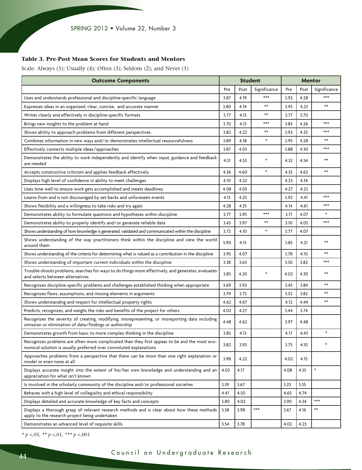## **Table 3. Pre-Post Mean Scores for Students and Mentors**

Scale: Always (5); Usually (4); Often (3); Seldom (2); and Never (1)

| <b>Outcome Components</b>                                                                                                                                           | <b>Student</b> |      |              | <b>Mentor</b> |      |              |
|---------------------------------------------------------------------------------------------------------------------------------------------------------------------|----------------|------|--------------|---------------|------|--------------|
|                                                                                                                                                                     | Pre            | Post | Significance | Pre           | Post | Significance |
| Uses and understands professional and discipline-specific language                                                                                                  | 3.87           | 4.19 | $***$        | 3.92          | 4.28 | $***$        |
| Expresses ideas in an organized, clear, concise, and accurate manner                                                                                                | 3.80           | 4.14 | $**$         | 3.93          | 4.23 | $***$        |
| Writes clearly and effectively in discipline-specific formats                                                                                                       | 3.77           | 4.13 | $**$         | 3.77          | 3.70 |              |
| Brings new insights to the problem at hand                                                                                                                          | 3.70           | 4.13 | $***$        | 3.83          | 4.26 | $***$        |
| Shows ability to approach problems from different perspectives                                                                                                      | 3.82           | 4.22 | $**$         | 3.92          | 4.25 | $***$        |
| Combines information in new ways and/or demonstrates intellectual resourcefulness                                                                                   | 3.89           | 4.18 | $\star$      | 3.95          | 4.28 | $**$         |
| Effectively connects multiple ideas/approaches                                                                                                                      | 3.87           | 4.03 |              | 3.88          | 4.30 | $***$        |
| Demonstrates the ability to work independently and identify when input, guidance and feedback<br>are needed                                                         | 4.31           | 4.53 | $^{\star}$   | 4.32          | 4.54 | $**$         |
| Accepts constructive criticism and applies feedback effectively                                                                                                     | 4.36           | 4.60 | $\star$      | 4.35          | 4.62 | $**$         |
| Displays high level of confidence in ability to meet challenges                                                                                                     | 4.10           | 4.22 |              | 4.23          | 4.34 |              |
| Uses time well to ensure work gets accomplished and meets deadlines                                                                                                 | 4.08           | 4.05 |              | 4.27          | 4.23 |              |
| Learns from and is not discouraged by set-backs and unforeseen events                                                                                               | 4.13           | 4.25 |              | 3.92          | 4.41 | $***$        |
| Shows flexibility and a willingness to take risks and try again                                                                                                     | 4.28           | 4.35 |              | 4.14          | 4.61 | $***$        |
| Demonstrates ability to formulate questions and hypotheses within discipline                                                                                        | 3.77           | 3.95 | $***$        | 3.71          | 4.07 | $\star$      |
| Demonstrates ability to properly identify and/or generate reliable data                                                                                             | 3.43           | 3.97 | $**$         | 3.10          | 4.05 | $***$        |
| Shows understanding of how knowledge is generated, validated and communicated within the discipline                                                                 | 3.72           | 4.10 | $\star$      | 3.77          | 4.07 |              |
| Shows understanding of the way practitioners think within the discipline and view the world<br>around them                                                          | 3.90           | 4.15 |              | 3.85          | 4.21 | $**$         |
| Shows understanding of the criteria for determining what is valued as a contribution in the discipline                                                              | 3.95           | 4.07 |              | 3.78          | 4.10 | $**$         |
| Shows understanding of important current individuals within the discipline                                                                                          | 3.38           | 3.63 |              | 3.30          | 3.82 | $***$        |
| Trouble-shoots problems, searches for ways to do things more effectively, and generates, evaluates<br>and selects between alternatives                              | 3.85           | 4.20 | $\star$      | 4.02          | 4.30 | $**$         |
| Recognizes discipline-specific problems and challenges established thinking when appropriate                                                                        | 3.69           | 3.92 |              | 3.45          | 3.84 | $**$         |
| Recognizes flaws, assumptions, and missing elements in arguments                                                                                                    | 3.79           | 3.73 |              | 3.52          | 3.82 | $**$         |
| Shows understanding and respect for intellectual property rights                                                                                                    | 4.62           | 4.67 |              | 4.12          | 4.44 | $**$         |
| Predicts, recognizes, and weighs the risks and benefits of the project for others                                                                                   | 4.02           | 4.27 |              | 3.44          | 3.74 |              |
| Recognizes the severity of creating, modifying, misrepresenting, or misreporting data including<br>omission or elimination of data/findings or authorship           | 4.48           | 4.62 |              | 3.97          | 4.48 |              |
| Demonstrates growth from basic to more complex thinking in the discipline                                                                                           | 3.85           | 4.13 |              | 4.17          | 4.43 | $\star$      |
| Recognizes problems are often more complicated than they first appear to be and the most eco-<br>nomical solution is usually preferred over convoluted explanations | 3.82           | 3.93 |              | 3.75          | 4.10 |              |
| Approaches problems from a perspective that there can be more than one right explanation or<br>model or even none at all                                            | 3.98           | 4.22 |              | 4.02          | 4.15 |              |
| Displays accurate insight into the extent of his/her own knowledge and understanding and an<br>appreciation for what isn't known                                    | 4.03           | 4.17 |              | 4.08          | 4.35 | $\star$      |
| Is involved in the scholarly community of the discipline and/or professional societies                                                                              | 3.39           | 3.67 |              | 3.23          | 3.35 |              |
| Behaves with a high level of collegiality and ethical responsibility                                                                                                | 4.41           | 4.50 |              | 4.65          | 4.74 |              |
| Displays detailed and accurate knowledge of key facts and concepts                                                                                                  | 3.80           | 4.02 |              | 3.90          | 4.34 | $***$        |
| Displays a thorough grasp of relevant research methods and is clear about how these methods<br>apply to the research project being undertaken                       | 3.38           | 3.98 | $***$        | 3.67          | 4.16 | $***$        |
| Demonstrates an advanced level of requisite skills                                                                                                                  | 3.54           | 3.78 |              | 4.02          | 4.23 |              |

*\* p <.05, \*\* p <.01, \*\*\* p <.001*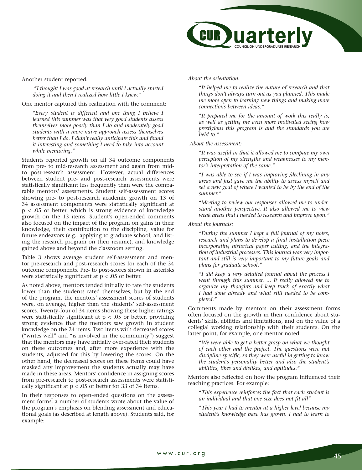

Another student reported:

*"I thought I was good at research until I actually started doing it and then I realized how little I knew."* 

One mentor captured this realization with the comment:

*"Every student is different and one thing I believe I learned this summer was that very good students assess themselves more poorly than I do and moderately good students with a more naive approach assess themselves better than I do. I didn't really anticipate this and found it interesting and something I need to take into account while mentoring."* 

Students reported growth on all 34 outcome components from pre- to mid-research assessment and again from midto post-research assessment. However, actual differences between student pre- and post-research assessments were statistically significant less frequently than were the comparable mentors' assessments. Student self-assessment scores showing pre- to post-research academic growth on 13 of 34 assessment components were statistically significant at p < .05 or better, which is strong evidence of knowledge growth on the 13 items. Student's open-ended comments also focused on the impact of the program on gains in their knowledge, their contribution to the discipline, value for future endeavors (e.g., applying to graduate school, and listing the research program on their resume), and knowledge gained above and beyond the classroom setting.

Table 3 shows average student self-assessment and mentor pre-research and post-research scores for each of the 34 outcome components. Pre- to post-scores shown in asterisks were statistically significant at  $p < .05$  or better.

As noted above, mentors tended initially to rate the students lower than the students rated themselves, but by the end of the program, the mentors' assessment scores of students were, on average, higher than the students' self-assessment scores. Twenty-four of 34 items showing these higher ratings were statistically significant at  $p < .05$  or better, providing strong evidence that the mentors saw growth in student knowledge on the 24 items. Two items with decreased scores ("writes well" and "is involved in the community") suggest that the mentors may have initially over-rated their students on these outcomes and, after more experience with the students, adjusted for this by lowering the scores. On the other hand, the decreased scores on these items could have masked any improvement the students actually may have made in these areas. Mentors' confidence in assigning scores from pre-research to post-research assessments were statistically significant at  $p < .05$  or better for 33 of 34 items.

In their responses to open-ended questions on the assessment forms, a number of students wrote about the value of the program's emphasis on blending assessment and educational goals (as described at length above). Students said, for example:

*About the orientation:* 

*"It helped me to realize the nature of research and that things don't always turn out as you planned. This made me more open to learning new things and making more connections between ideas."* 

*"It prepared me for the amount of work this really is, as well as getting me even more motivated seeing how prestigious this program is and the standards you are held to."*

 *About the assessment:* 

*"It was useful in that it allowed me to compare my own perception of my strengths and weaknesses to my mentor's interpretation of the same."*

*"I was able to see if I was improving /declining in any areas and just gave me the ability to assess myself and set a new goal of where I wanted to be by the end of the summer."*

*"Meeting to review our responses allowed me to understand another perspective. It also allowed me to view weak areas that I needed to research and improve upon."* 

*About the journals:* 

*"During the summer I kept a full journal of my notes, research and plans to develop a final installation piece incorporating historical paper cutting, and the integration of industrial processes. This journal was very important and still is very important to my future goals and plans for graduate school."* 

*"I did keep a very detailed journal about the process I went through this summer. ... It really allowed me to organize my thoughts and keep track of exactly what I had done already and what still needed to be completed."* 

Comments made by mentors on their assessment forms often focused on the growth in their confidence about students' skills, abilities and limitations, and on the value of a collegial working relationship with their students. On the latter point, for example, one mentor noted:

*"We were able to get a better grasp on what we thought of each other and the project. The questions were not discipline-specific, so they were useful in getting to know the student's personality better and also the student's abilities, likes and dislikes, and aptitudes."*

Mentors also reflected on how the program influenced their teaching practices. For example:

*"This experience reinforces the fact that each student is an individual and that one size does not fit all"* 

*"This year I had to mentor at a higher level because my student's knowledge base has grown. I had to learn to*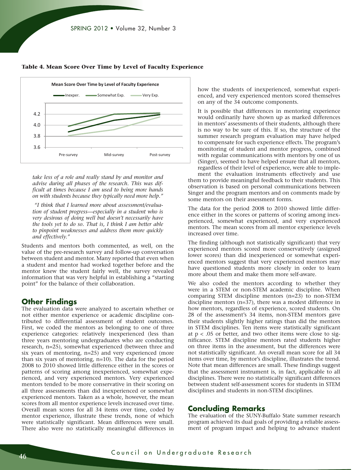

**Table 4. Mean Score Over Time by Level of Faculty Experience** 

*take less of a role and really stand by and monitor and advise during all phases of the research. This was difficult at times because I am used to being more hands on with students because they typically need more help."*

 *"I think that I learned more about assessment/evaluation of student progress—especially in a student who is very desirous of doing well but doesn't necessarily have the tools yet to do so. That is, I think I am better able to pinpoint weaknesses and address them more quickly and effectively."* 

Students and mentors both commented, as well, on the value of the pre-research survey and follow-up conversation between student and mentor. Many reported that even when a student and mentor had worked together before and the mentor knew the student fairly well, the survey revealed information that was very helpful in establishing a "starting point" for the balance of their collaboration.

# **Other Findings**

The evaluation data were analyzed to ascertain whether or not either mentor experience or academic discipline contributed to differential assessment of student outcomes. First, we coded the mentors as belonging to one of three experience categories: relatively inexperienced (less than three years mentoring undergraduates who are conducting research, n=25), somewhat experienced (between three and six years of mentoring, n=25) and very experienced (more than six years of mentoring, n=10). The data for the period 2008 to 2010 showed little difference either in the scores or patterns of scoring among inexperienced, somewhat experienced, and very experienced mentors. Very experienced mentors tended to be more conservative in their scoring on all three assessments than did inexperienced or somewhat experienced mentors. Taken as a whole, however, the mean scores from all mentor experience levels increased over time. Overall mean scores for all 34 items over time, coded by mentor experience, illustrate these trends, none of which were statistically significant. Mean differences were small. There also were no statistically meaningful differences in

how the students of inexperienced, somewhat experienced, and very experienced mentors scored themselves on any of the 34 outcome components.

It is possible that differences in mentoring experience would ordinarily have shown up as marked differences in mentors' assessments of their students, although there is no way to be sure of this. If so, the structure of the summer research program evaluation may have helped to compensate for such experience effects. The program's monitoring of student and mentor progress, combined with regular communications with mentors by one of us (Singer), seemed to have helped ensure that all mentors, regardless of their level of experience, were able to implement the evaluation instruments effectively and use

them to provide meaningful feedback to their students. This observation is based on personal communications between Singer and the program mentors and on comments made by some mentors on their assessment forms.

The data for the period 2008 to 2010 showed little difference either in the scores or patterns of scoring among inexperienced, somewhat experienced, and very experienced mentors. The mean scores from all mentor experience levels increased over time.

The finding (although not statistically significant) that very experienced mentors scored more conservatively (assigned lower scores) than did inexperienced or somewhat experienced mentors suggest that very experienced mentors may have questioned students more closely in order to learn more about them and make them more self-aware.

We also coded the mentors according to whether they were in a STEM or non-STEM academic discipline. When comparing STEM discipline mentors (n=23) to non-STEM discipline mentors (n=37), there was a modest difference in how mentors, regardless of experience, scored students. On 28 of the assessment's 34 items, non-STEM mentors gave their students slightly higher ratings than did the mentors in STEM disciplines. Ten items were statistically significant at  $p < .05$  or better, and two other items were close to significance. STEM discipline mentors rated students higher on three items in the assessment, but the differences were not statistically significant. An overall mean score for all 34 items over time, by mentor's discipline, illustrates the trend. Note that mean differences are small. These findings suggest that the assessment instrument is, in fact, applicable to all disciplines. There were no statistically significant differences between student self-assessment scores for students in STEM disciplines and students in non-STEM disciplines.

#### **Concluding Remarks**

The evaluation of the SUNY-Buffalo State summer research program achieved its dual goals of providing a reliable assessment of program impact and helping to advance student